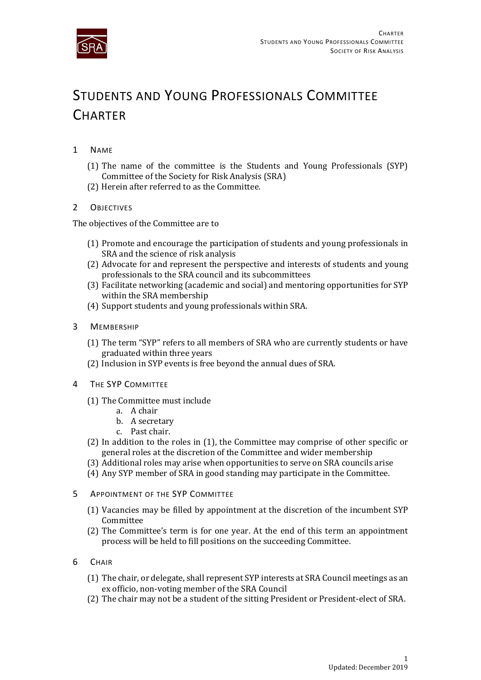

## STUDENTS AND YOUNG PROFESSIONALS COMMITTEE **CHARTER**

- 1 NAME
	- (1) The name of the committee is the Students and Young Professionals (SYP) Committee of the Society for Risk Analysis (SRA)
	- (2) Herein after referred to as the Committee.

## 2 OBJECTIVES

The objectives of the Committee are to

- (1) Promote and encourage the participation of students and young professionals in SRA and the science of risk analysis
- (2) Advocate for and represent the perspective and interests of students and young professionals to the SRA council and its subcommittees
- (3) Facilitate networking (academic and social) and mentoring opportunities for SYP within the SRA membership
- (4) Support students and young professionals within SRA.
- 3 MEMBERSHIP
	- (1) The term "SYP" refers to all members of SRA who are currently students or have graduated within three years
	- (2) Inclusion in SYP events is free beyond the annual dues of SRA.
- 4 THE SYP COMMITTEE
	- (1) The Committee must include
		- a. A chair
		- b. A secretary
		- c. Past chair.
	- (2) In addition to the roles in (1), the Committee may comprise of other specific or general roles at the discretion of the Committee and wider membership
	- (3) Additional roles may arise when opportunities to serve on SRA councils arise
	- (4) Any SYP member of SRA in good standing may participate in the Committee.
- 5 APPOINTMENT OF THE SYP COMMITTEE
	- (1) Vacancies may be filled by appointment at the discretion of the incumbent SYP Committee
	- (2) The Committee's term is for one year. At the end of this term an appointment process will be held to fill positions on the succeeding Committee.
- 6 CHAIR
	- (1) The chair, or delegate, shall represent SYP interests at SRA Council meetings as an ex officio, non-voting member of the SRA Council
	- (2) The chair may not be a student of the sitting President or President-elect of SRA.